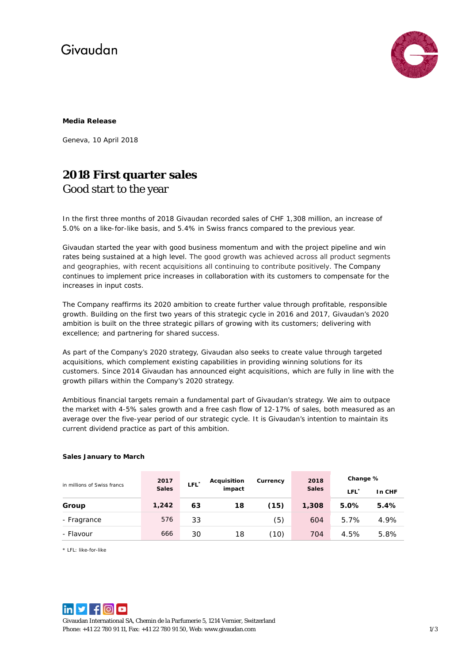# Givaudan



### **Media Release**

Geneva, 10 April 2018

### **2018 First quarter sales**  Good start to the year

In the first three months of 2018 Givaudan recorded sales of CHF 1,308 million, an increase of 5.0% on a like-for-like basis, and 5.4% in Swiss francs compared to the previous year.

Givaudan started the year with good business momentum and with the project pipeline and win rates being sustained at a high level. The good growth was achieved across all product segments and geographies, with recent acquisitions all continuing to contribute positively. The Company continues to implement price increases in collaboration with its customers to compensate for the increases in input costs.

The Company reaffirms its 2020 ambition to create further value through profitable, responsible growth. Building on the first two years of this strategic cycle in 2016 and 2017, Givaudan's 2020 ambition is built on the three strategic pillars of growing with its customers; delivering with excellence; and partnering for shared success.

As part of the Company's 2020 strategy, Givaudan also seeks to create value through targeted acquisitions, which complement existing capabilities in providing winning solutions for its customers. Since 2014 Givaudan has announced eight acquisitions, which are fully in line with the growth pillars within the Company's 2020 strategy.

Ambitious financial targets remain a fundamental part of Givaudan's strategy. We aim to outpace the market with 4-5% sales growth and a free cash flow of 12-17% of sales, both measured as an average over the five-year period of our strategic cycle. It is Givaudan's intention to maintain its current dividend practice as part of this ambition.

| in millions of Swiss francs | 2017<br><b>Sales</b> | LFL <sup>*</sup> | Acquisition<br>impact | Currency | 2018<br><b>Sales</b> | Change %         |        |
|-----------------------------|----------------------|------------------|-----------------------|----------|----------------------|------------------|--------|
|                             |                      |                  |                       |          |                      | LFL <sup>*</sup> | In CHF |
| Group                       | 1,242                | 63               | 18                    | (15)     | 1,308                | 5.0%             | 5.4%   |
| - Fragrance                 | 576                  | 33               |                       | (5)      | 604                  | 5.7%             | 4.9%   |
| - Flavour                   | 666                  | 30               | 18                    | (10)     | 704                  | 4.5%             | 5.8%   |

### **Sales January to March**

\* LFL: like-for-like



Givaudan International SA, Chemin de la Parfumerie 5, 1214 Vernier, Switzerland Phone: +41 22 780 91 11, Fax: +41 22 780 91 50, Web[: www.givaudan.com](http://www.givaudan.com/) 1/3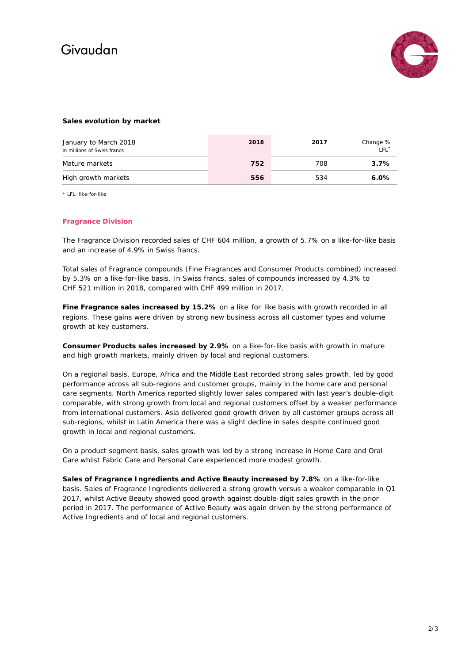# Givaudan



### **Sales evolution by market**

| January to March 2018<br>in millions of Swiss francs | 2018 | 2017 | Change %<br>TEL <sup>*</sup> |
|------------------------------------------------------|------|------|------------------------------|
| Mature markets                                       | 752  | 708  | 3.7%                         |
| High growth markets                                  | 556  | 534  | $6.0\%$                      |

\* LFL: like-for-like

#### **Fragrance Division**

The Fragrance Division recorded sales of CHF 604 million, a growth of 5.7% on a like-for-like basis and an increase of 4.9% in Swiss francs.

Total sales of Fragrance compounds (Fine Fragrances and Consumer Products combined) increased by 5.3% on a like-for-like basis. In Swiss francs, sales of compounds increased by 4.3% to CHF 521 million in 2018, compared with CHF 499 million in 2017.

**Fine Fragrance sales increased by 15.2%** on a like-for-like basis with growth recorded in all regions. These gains were driven by strong new business across all customer types and volume growth at key customers.

**Consumer Products sales increased by 2.9%** on a like-for-like basis with growth in mature and high growth markets, mainly driven by local and regional customers.

On a regional basis, Europe, Africa and the Middle East recorded strong sales growth, led by good performance across all sub-regions and customer groups, mainly in the home care and personal care segments. North America reported slightly lower sales compared with last year's double-digit comparable, with strong growth from local and regional customers offset by a weaker performance from international customers. Asia delivered good growth driven by all customer groups across all sub-regions, whilst in Latin America there was a slight decline in sales despite continued good growth in local and regional customers.

On a product segment basis, sales growth was led by a strong increase in Home Care and Oral Care whilst Fabric Care and Personal Care experienced more modest growth.

**Sales of Fragrance Ingredients and Active Beauty increased by 7.8%** on a like-for-like basis. Sales of Fragrance Ingredients delivered a strong growth versus a weaker comparable in Q1 2017, whilst Active Beauty showed good growth against double-digit sales growth in the prior period in 2017. The performance of Active Beauty was again driven by the strong performance of Active Ingredients and of local and regional customers.